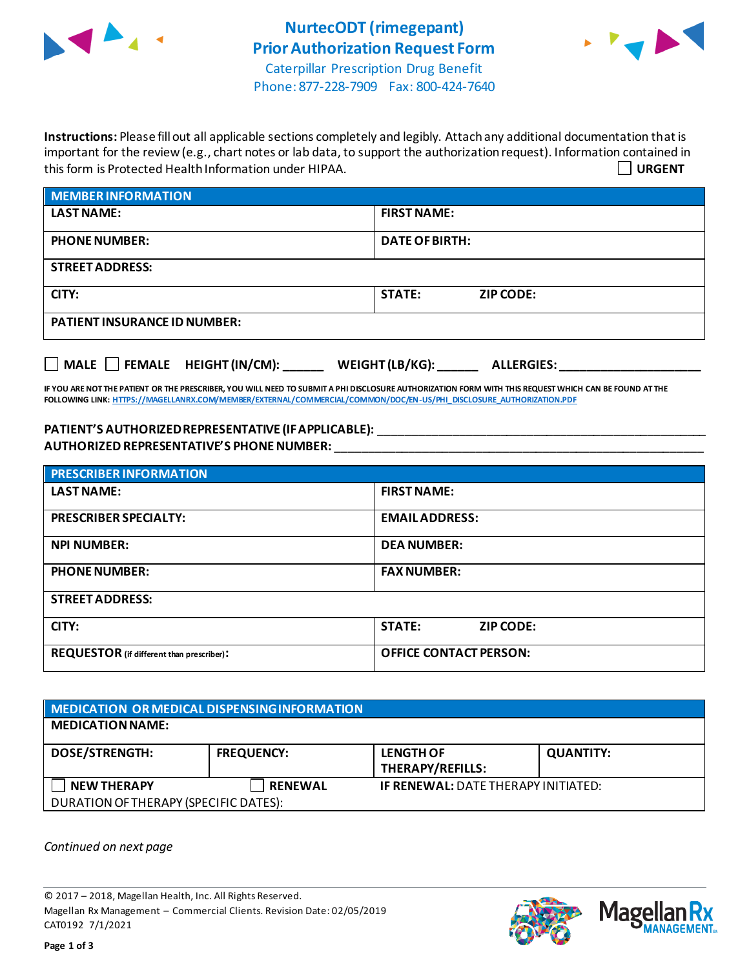



Phone: 877-228-7909 Fax: 800-424-7640

**Instructions:** Please fill out all applicable sections completely and legibly. Attach any additional documentation that is important for the review (e.g., chart notes or lab data, to support the authorization request). Information contained in this form is Protected Health Information under HIPAA. **URGENT**

| <b>MEMBER INFORMATION</b>           |                                   |
|-------------------------------------|-----------------------------------|
| <b>LAST NAME:</b>                   | <b>FIRST NAME:</b>                |
| <b>PHONE NUMBER:</b>                | <b>DATE OF BIRTH:</b>             |
| <b>STREET ADDRESS:</b>              |                                   |
| CITY:                               | <b>STATE:</b><br><b>ZIP CODE:</b> |
| <b>PATIENT INSURANCE ID NUMBER:</b> |                                   |
|                                     |                                   |

**IF YOU ARE NOT THE PATIENT OR THE PRESCRIBER, YOU WILL NEED TO SUBMIT A PHI DISCLOSURE AUTHORIZATION FORM WITH THIS REQUEST WHICH CAN BE FOUND AT THE FOLLOWING LINK[: HTTPS://MAGELLANRX.COM/MEMBER/EXTERNAL/COMMERCIAL/COMMON/DOC/EN-US/PHI\\_DISCLOSURE\\_AUTHORIZATION.PDF](https://magellanrx.com/member/external/commercial/common/doc/en-us/PHI_Disclosure_Authorization.pdf)**

**MALE FEMALE HEIGHT (IN/CM): \_\_\_\_\_\_ WEIGHT (LB/KG): \_\_\_\_\_\_ ALLERGIES: \_\_\_\_\_\_\_\_\_\_\_\_\_\_\_\_\_\_\_\_\_**

PATIENT'S AUTHORIZED REPRESENTATIVE (IF APPLICABLE): \_\_\_\_\_\_\_\_\_\_\_\_\_\_\_\_\_\_\_\_\_\_\_\_\_\_\_ **AUTHORIZED REPRESENTATIVE'S PHONE NUMBER:** \_\_\_\_\_\_\_\_\_\_\_\_\_\_\_\_\_\_\_\_\_\_\_\_\_\_\_\_\_\_\_\_\_\_\_\_\_\_\_\_\_\_\_\_\_\_\_\_\_\_\_\_\_\_\_

| <b>PRESCRIBER INFORMATION</b>             |                                   |  |
|-------------------------------------------|-----------------------------------|--|
| <b>LAST NAME:</b>                         | <b>FIRST NAME:</b>                |  |
| <b>PRESCRIBER SPECIALTY:</b>              | <b>EMAIL ADDRESS:</b>             |  |
| <b>NPI NUMBER:</b>                        | <b>DEA NUMBER:</b>                |  |
| <b>PHONE NUMBER:</b>                      | <b>FAX NUMBER:</b>                |  |
| <b>STREET ADDRESS:</b>                    |                                   |  |
| CITY:                                     | <b>STATE:</b><br><b>ZIP CODE:</b> |  |
| REQUESTOR (if different than prescriber): | <b>OFFICE CONTACT PERSON:</b>     |  |

| MEDICATION OR MEDICAL DISPENSING INFORMATION |                   |                                            |                  |  |  |
|----------------------------------------------|-------------------|--------------------------------------------|------------------|--|--|
| <b>MEDICATION NAME:</b>                      |                   |                                            |                  |  |  |
| <b>DOSE/STRENGTH:</b>                        | <b>FREQUENCY:</b> | <b>LENGTH OF</b><br>THERAPY/REFILLS:       | <b>QUANTITY:</b> |  |  |
| <b>NEW THERAPY</b>                           | <b>RENEWAL</b>    | <b>IF RENEWAL: DATE THERAPY INITIATED:</b> |                  |  |  |
| DURATION OF THERAPY (SPECIFIC DATES):        |                   |                                            |                  |  |  |

*Continued on next page*

© 2017 – 2018, Magellan Health, Inc. All Rights Reserved. Magellan Rx Management – Commercial Clients. Revision Date: 02/05/2019 CAT0192 7/1/2021



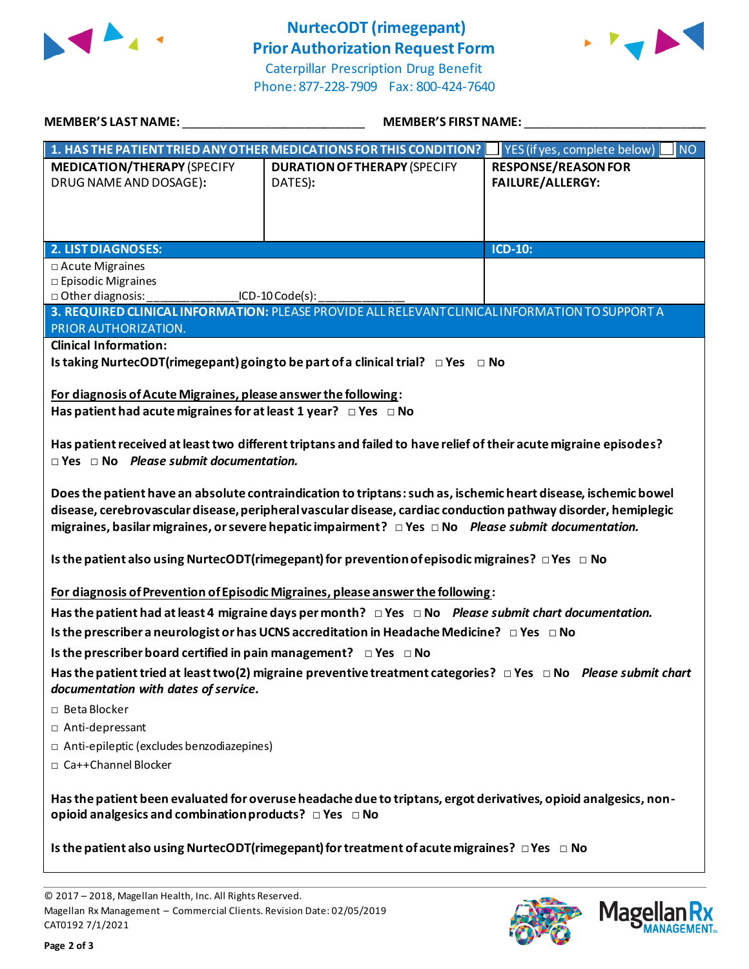

## **NurtecODT (rimegepant) Prior Authorization Request Form**





| <b>MEMBER'S LAST NAME:</b>                                                                                                                                                                                                                                                                                                             | <b>MEMBER'S FIRST NAME:</b>                                                                                        |                                                       |  |  |
|----------------------------------------------------------------------------------------------------------------------------------------------------------------------------------------------------------------------------------------------------------------------------------------------------------------------------------------|--------------------------------------------------------------------------------------------------------------------|-------------------------------------------------------|--|--|
|                                                                                                                                                                                                                                                                                                                                        | 1. HAS THE PATIENT TRIED ANY OTHER MEDICATIONS FOR THIS CONDITION?                                                 | <b>NO</b><br>YES (if yes, complete below)             |  |  |
| <b>MEDICATION/THERAPY (SPECIFY</b><br>DRUG NAME AND DOSAGE):                                                                                                                                                                                                                                                                           | <b>DURATION OF THERAPY (SPECIFY</b><br>DATES):                                                                     | <b>RESPONSE/REASON FOR</b><br><b>FAILURE/ALLERGY:</b> |  |  |
| <b>2. LIST DIAGNOSES:</b>                                                                                                                                                                                                                                                                                                              |                                                                                                                    | <b>ICD-10:</b>                                        |  |  |
| □ Acute Migraines<br>$\square$ Episodic Migraines<br>□ Other diagnosis:<br>PRIOR AUTHORIZATION.                                                                                                                                                                                                                                        | ICD-10 Code(s):<br>3. REQUIRED CLINICAL INFORMATION: PLEASE PROVIDE ALL RELEVANT CLINICAL INFORMATION TO SUPPORT A |                                                       |  |  |
| <b>Clinical Information:</b>                                                                                                                                                                                                                                                                                                           |                                                                                                                    |                                                       |  |  |
|                                                                                                                                                                                                                                                                                                                                        | Is taking NurtecODT(rimegepant) going to be part of a clinical trial? $\Box$ Yes $\Box$ No                         |                                                       |  |  |
| For diagnosis of Acute Migraines, please answer the following:<br>Has patient had acute migraines for at least 1 year? $\Box$ Yes $\Box$ No                                                                                                                                                                                            |                                                                                                                    |                                                       |  |  |
| Has patient received at least two different triptans and failed to have relief of their acute migraine episodes?<br>$\Box$ Yes $\Box$ No Please submit documentation.                                                                                                                                                                  |                                                                                                                    |                                                       |  |  |
| Does the patient have an absolute contraindication to triptans: such as, ischemic heart disease, ischemic bowel<br>disease, cerebrovascular disease, peripheral vascular disease, cardiac conduction pathway disorder, hemiplegic<br>migraines, basilar migraines, or severe hepatic impairment? DYes DNo Please submit documentation. |                                                                                                                    |                                                       |  |  |
|                                                                                                                                                                                                                                                                                                                                        | Is the patient also using NurtecODT(rimegepant) for prevention of episodic migraines? $\Box$ Yes $\Box$ No         |                                                       |  |  |
| For diagnosis of Prevention of Episodic Migraines, please answer the following:                                                                                                                                                                                                                                                        |                                                                                                                    |                                                       |  |  |
| Has the patient had at least 4 migraine days per month? $\Box$ Yes $\Box$ No Please submit chart documentation.                                                                                                                                                                                                                        |                                                                                                                    |                                                       |  |  |
| Is the prescriber a neurologist or has UCNS accreditation in Headache Medicine? $\Box$ Yes $\Box$ No                                                                                                                                                                                                                                   |                                                                                                                    |                                                       |  |  |
| Is the prescriber board certified in pain management? $\Box$ Yes $\Box$ No                                                                                                                                                                                                                                                             |                                                                                                                    |                                                       |  |  |
| Has the patient tried at least two(2) migraine preventive treatment categories? $\Box$ Yes $\Box$ No Please submit chart<br>documentation with dates of service.                                                                                                                                                                       |                                                                                                                    |                                                       |  |  |
| □ Beta Blocker                                                                                                                                                                                                                                                                                                                         |                                                                                                                    |                                                       |  |  |
| □ Anti-depressant                                                                                                                                                                                                                                                                                                                      |                                                                                                                    |                                                       |  |  |
| $\Box$ Anti-epileptic (excludes benzodiazepines)<br>□ Ca++Channel Blocker                                                                                                                                                                                                                                                              |                                                                                                                    |                                                       |  |  |
| Has the patient been evaluated for overuse headache due to triptans, ergot derivatives, opioid analgesics, non-<br>opioid analgesics and combination products? □ Yes □ No                                                                                                                                                              |                                                                                                                    |                                                       |  |  |
| Is the patient also using NurtecODT(rimegepant) for treatment of acute migraines? $\Box$ Yes $\Box$ No                                                                                                                                                                                                                                 |                                                                                                                    |                                                       |  |  |